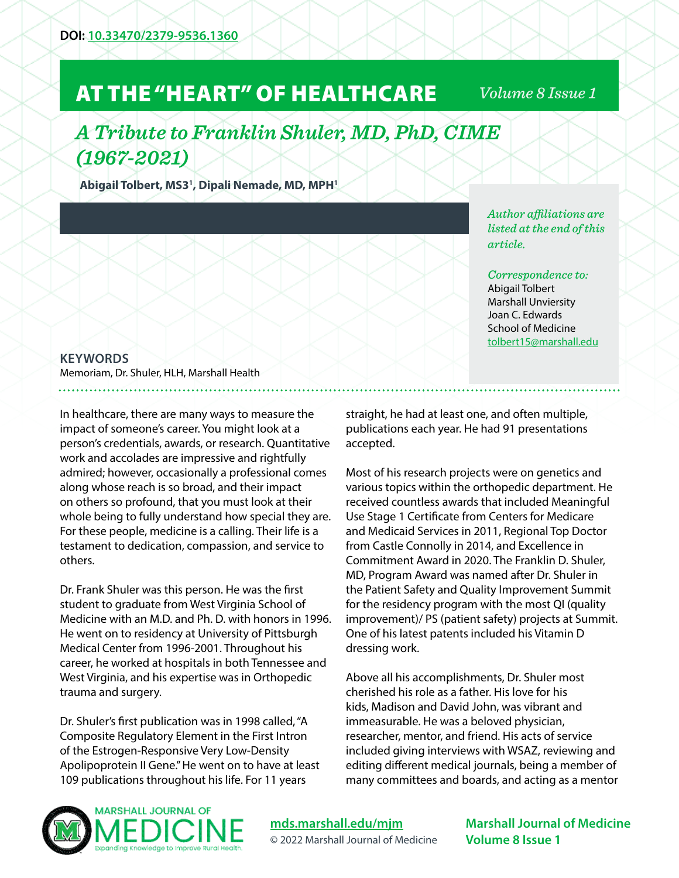## AT THE "HEART" OF HEALTHCARE

*Volume 8 Issue 1*

## *A Tribute to Franklin Shuler, MD, PhD, CIME (1967-2021)*

**Abigail Tolbert, MS31 , Dipali Nemade, MD, MPH1**

## **KEYWORDS**

Memoriam, Dr. Shuler, HLH, Marshall Health

In healthcare, there are many ways to measure the impact of someone's career. You might look at a person's credentials, awards, or research. Quantitative work and accolades are impressive and rightfully admired; however, occasionally a professional comes along whose reach is so broad, and their impact on others so profound, that you must look at their whole being to fully understand how special they are. For these people, medicine is a calling. Their life is a testament to dedication, compassion, and service to others.

Dr. Frank Shuler was this person. He was the first student to graduate from West Virginia School of Medicine with an M.D. and Ph. D. with honors in 1996. He went on to residency at University of Pittsburgh Medical Center from 1996-2001. Throughout his career, he worked at hospitals in both Tennessee and West Virginia, and his expertise was in Orthopedic trauma and surgery.

Dr. Shuler's first publication was in 1998 called, "A Composite Regulatory Element in the First Intron of the Estrogen-Responsive Very Low-Density Apolipoprotein II Gene." He went on to have at least 109 publications throughout his life. For 11 years

*Author affiliations are listed at the end of this article.* 

*Correspondence to:*  Abigail Tolbert Marshall Unviersity Joan C. Edwards School of Medicine [tolbert15@marshall.edu](mailto:tolbert15%40marshall.edu?subject=)

straight, he had at least one, and often multiple, publications each year. He had 91 presentations accepted.

Most of his research projects were on genetics and various topics within the orthopedic department. He received countless awards that included Meaningful Use Stage 1 Certificate from Centers for Medicare and Medicaid Services in 2011, Regional Top Doctor from Castle Connolly in 2014, and Excellence in Commitment Award in 2020. The Franklin D. Shuler, MD, Program Award was named after Dr. Shuler in the Patient Safety and Quality Improvement Summit for the residency program with the most QI (quality improvement)/ PS (patient safety) projects at Summit. One of his latest patents included his Vitamin D dressing work.

Above all his accomplishments, Dr. Shuler most cherished his role as a father. His love for his kids, Madison and David John, was vibrant and immeasurable. He was a beloved physician, researcher, mentor, and friend. His acts of service included giving interviews with WSAZ, reviewing and editing different medical journals, being a member of many committees and boards, and acting as a mentor



**[mds.marshall.edu/mjm](https://mds.marshall.edu/mjm/)** © 2022 Marshall Journal of Medicine

**Marshall Journal of Medicine Volume 8 Issue 1**